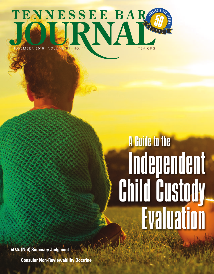

## A Guide to the Independent Child Custody Evaluation

**ALSO: (Not) Summary Judgment**

**Consular Non-Reviewability Doctrine**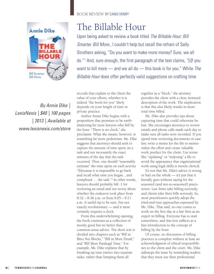

*By Annie Dike | LexisNexis | \$40 | 100 pages | 2013 | Available at www.lexisnexis.com/store*

## BOOK REVIEW BY CANDI HENRY

## The Billable Hour

Upon being asked to review a book titled *The Billable Hour: Bill Smarter. Bill More.*, I couldn't help but recall the refrain of Sally Struthers asking, "Do you want to make more money? Sure, we all do."1 And, sure enough, the first paragraph of the text claims, "[i]f you want to bill more — and we all do — this book is for you." While *The Billable Hour* does offer perfectly valid suggestions on crafting time

records that explain to the client the value of your efforts, whether it is indeed "the book for you" likely depends on your length of time in private practice.

Author Annie Dike begins with a proposition that promises to be earthshattering for most lawyers who bill by the hour. "There is no clock," she proclaims. What she means, however, is something far more pedestrian. Ms. Dike suggests that attorneys should seek to capture the amount of time spent on a task and not necessarily the exact minutes of the day that the task occurred. Thus, one should "reasonably estimate" the time spent on each activity "[b]ecause it is impossible to go back and recall what time you began…and completed … the task."2 In other words, lawyers should probably bill .1 for reviewing an email and not worry about whether the endeavor took place from 8:32 – 8:36 a.m. or from 9:05 – 9:11 a.m. A useful tip to be sure, but not exactly revolutionary — and it most certainly requires a clock.

From this underwhelming opening, the book continues as a collection of mostly good but no better than common-sense advice. The short text is divided into chapters such as "Bill in Bites Not Blocks," "Bill in More Detail," and "Bill More Paralegal Time." For example, Ms. Dike explains that by breaking up time entries into separate tasks, rather than lumping them all

together as a "block," the attorney provides the client with a clear, itemized description of the work. The implication is that this also likely results in more total time billed.

Ms. Dike also provides tips about capturing time that could otherwise be lost. She encourages attorneys to review emails and phone calls made each day to make sure all tasks were recorded. If you spend time reviewing documents or case law, write a memo for the file to memorialize the effort and create valuable work product for the client. Use terms like "updating" or "indexing" a file to avoid the appearance that organizational work using legal skills is merely clerical.

It's not that Ms. Dike's advice is wrong or bad on the whole — it's just that it literally goes without saying for the seasoned (and not-so-seasoned) practitioner. Law firms take billing seriously, and clients take their bills seriously. So, most practitioners quickly adopt the tried-and-true approaches espoused by Ms. Dike. That said, no one comes to work on the first day at a law firm as an expert in billing. Everyone has to start somewhere, and this text suffices as a fine introduction to the concept of billing by the hour.

Of course, no discussion of billing practices is complete without at least an acknowledgment of ethical responsibilities to the client and the court. Ms. Dike sidesteps the issue by reminding readers that they must use their professional